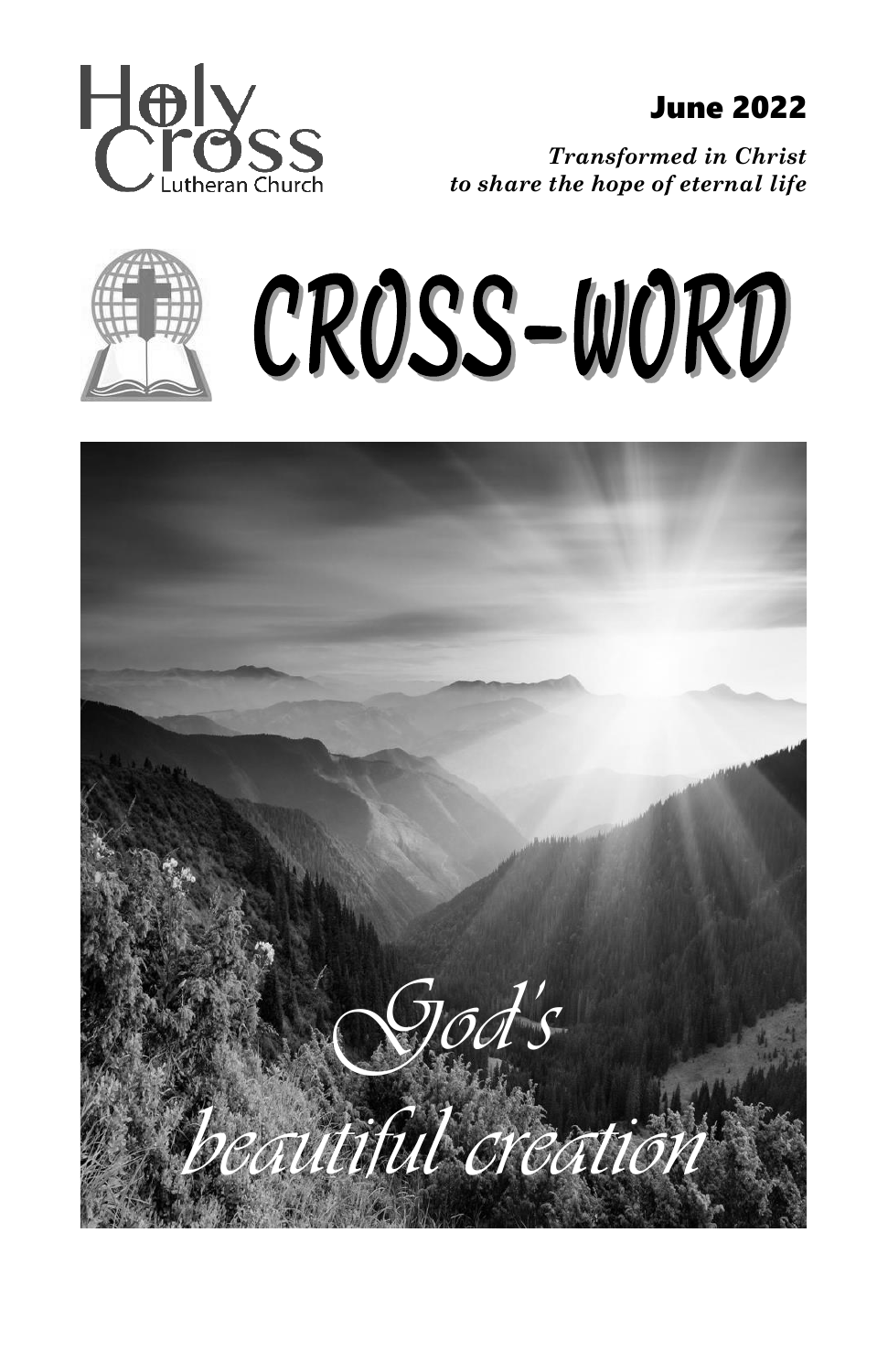

*Transformed in Christ to share the hope of eternal life*



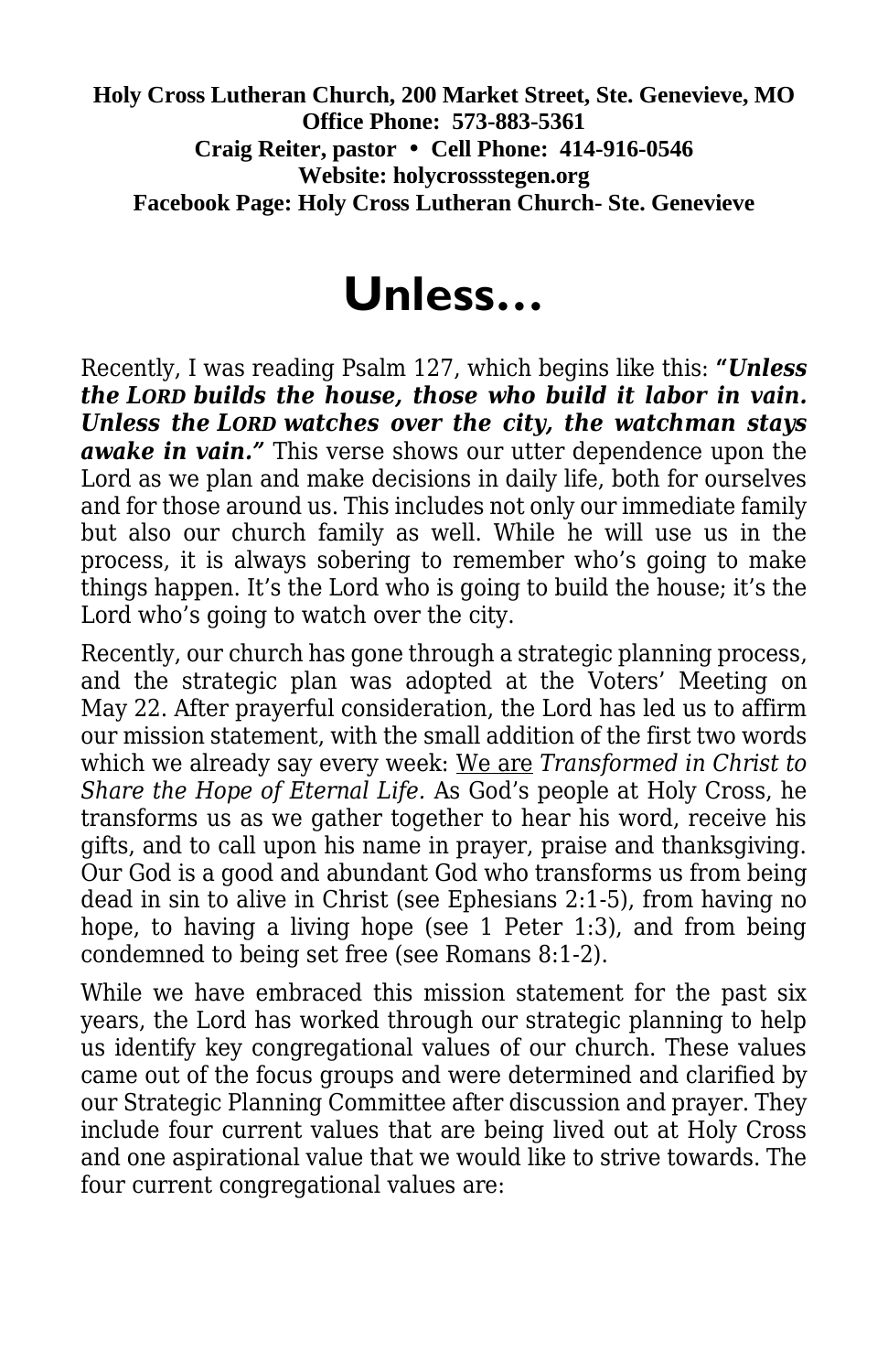**Holy Cross Lutheran Church, 200 Market Street, Ste. Genevieve, MO Office Phone: 573-883-5361 Craig Reiter, pastor Cell Phone: 414-916-0546 Website: holycrossstegen.org Facebook Page: Holy Cross Lutheran Church- Ste. Genevieve**

# **Unless…**

Recently, I was reading Psalm 127, which begins like this: **"***Unless the LORD builds the house, those who build it labor in vain. Unless the LORD watches over the city, the watchman stays awake in vain."* This verse shows our utter dependence upon the Lord as we plan and make decisions in daily life, both for ourselves and for those around us. This includes not only our immediate family but also our church family as well. While he will use us in the process, it is always sobering to remember who's going to make things happen. It's the Lord who is going to build the house; it's the Lord who's going to watch over the city.

Recently, our church has gone through a strategic planning process, and the strategic plan was adopted at the Voters' Meeting on May 22. After prayerful consideration, the Lord has led us to affirm our mission statement, with the small addition of the first two words which we already say every week: We are *Transformed in Christ to Share the Hope of Eternal Life.* As God's people at Holy Cross, he transforms us as we gather together to hear his word, receive his gifts, and to call upon his name in prayer, praise and thanksgiving. Our God is a good and abundant God who transforms us from being dead in sin to alive in Christ (see Ephesians 2:1-5), from having no hope, to having a living hope (see 1 Peter 1:3), and from being condemned to being set free (see Romans 8:1-2).

While we have embraced this mission statement for the past six years, the Lord has worked through our strategic planning to help us identify key congregational values of our church. These values came out of the focus groups and were determined and clarified by our Strategic Planning Committee after discussion and prayer. They include four current values that are being lived out at Holy Cross and one aspirational value that we would like to strive towards. The four current congregational values are: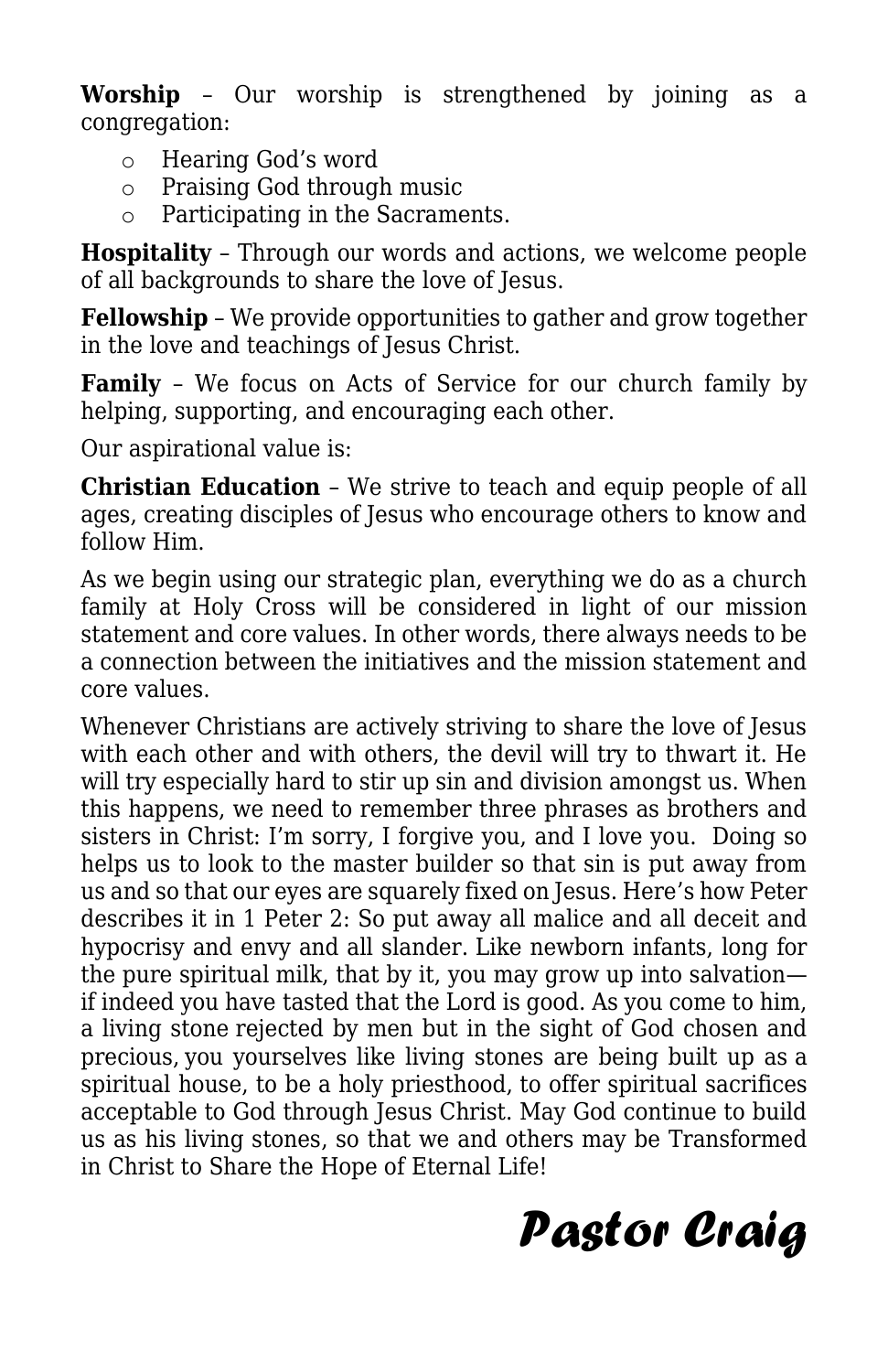**Worship** – Our worship is strengthened by joining as a congregation:

- o Hearing God's word
- o Praising God through music
- o Participating in the Sacraments.

**Hospitality** – Through our words and actions, we welcome people of all backgrounds to share the love of Jesus.

**Fellowship** – We provide opportunities to gather and grow together in the love and teachings of Jesus Christ.

**Family** – We focus on Acts of Service for our church family by helping, supporting, and encouraging each other.

Our aspirational value is:

**Christian Education** – We strive to teach and equip people of all ages, creating disciples of Jesus who encourage others to know and follow Him.

As we begin using our strategic plan, everything we do as a church family at Holy Cross will be considered in light of our mission statement and core values. In other words, there always needs to be a connection between the initiatives and the mission statement and core values.

Whenever Christians are actively striving to share the love of Jesus with each other and with others, the devil will try to thwart it. He will try especially hard to stir up sin and division amongst us. When this happens, we need to remember three phrases as brothers and sisters in Christ: I'm sorry, I forgive you, and I love you. Doing so helps us to look to the master builder so that sin is put away from us and so that our eyes are squarely fixed on Jesus. Here's how Peter describes it in 1 Peter 2: So put away all malice and all deceit and hypocrisy and envy and all slander. Like newborn infants, long for the pure spiritual milk, that by it, you may grow up into salvation if indeed you have tasted that the Lord is good. As you come to him, a living stone rejected by men but in the sight of God chosen and precious, you yourselves like living stones are being built up as a spiritual house, to be a holy priesthood, to offer spiritual sacrifices acceptable to God through Jesus Christ. May God continue to build us as his living stones, so that we and others may be Transformed in Christ to Share the Hope of Eternal Life!

# *Pastor Craig*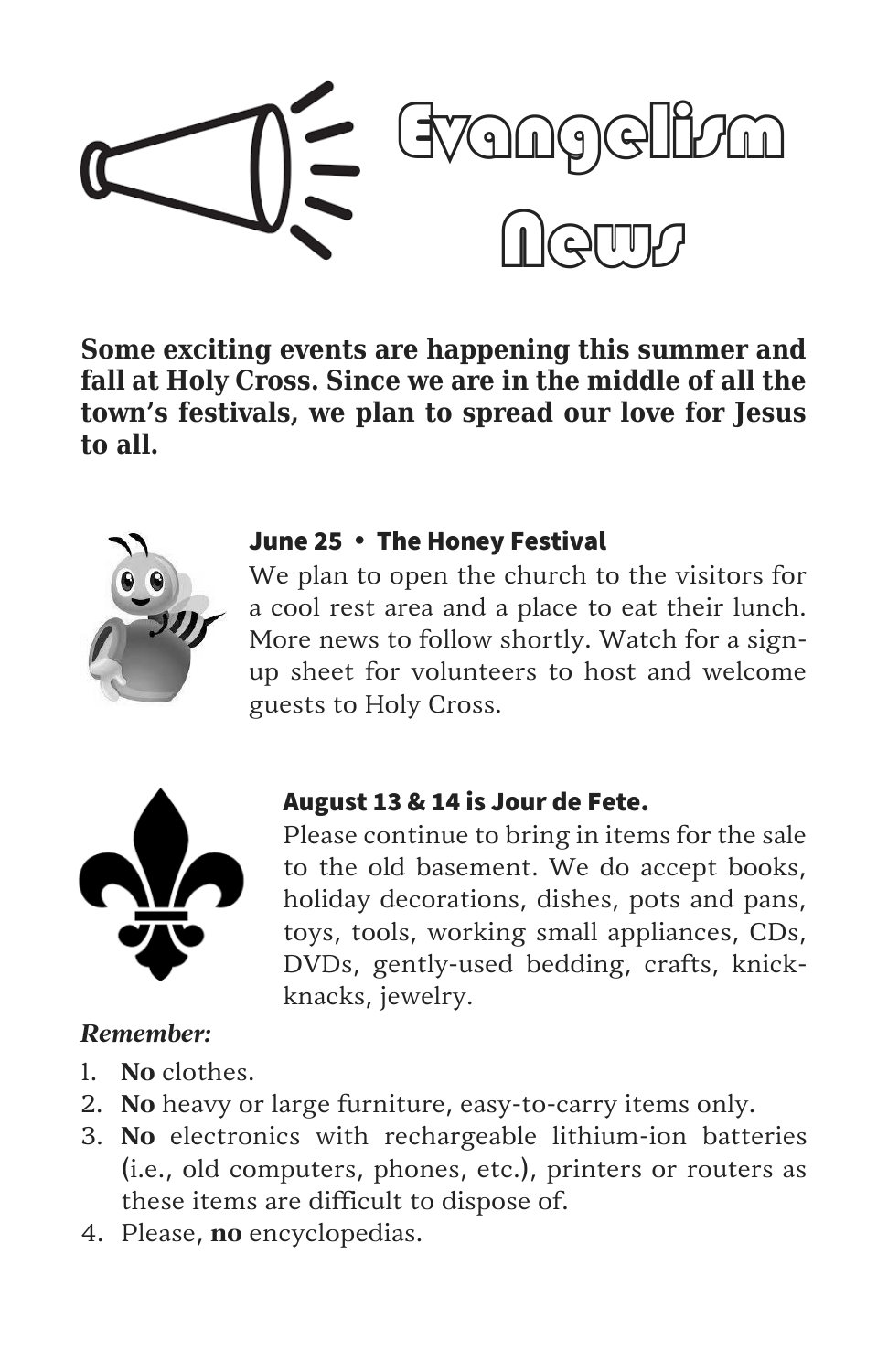

**Some exciting events are happening this summer and fall at Holy Cross. Since we are in the middle of all the town's festivals, we plan to spread our love for Jesus to all.**



#### June 25 . The Honey Festival

We plan to open the church to the visitors for a cool rest area and a place to eat their lunch. More news to follow shortly. Watch for a signup sheet for volunteers to host and welcome guests to Holy Cross.



#### August 13 & 14 is Jour de Fete.

Please continue to bring in items for the sale to the old basement. We do accept books, holiday decorations, dishes, pots and pans, toys, tools, working small appliances, CDs, DVDs, gently-used bedding, crafts, knickknacks, jewelry.

### *Remember:*

- 1. **No** clothes.
- 2. **No** heavy or large furniture, easy-to-carry items only.
- 3. **No** electronics with rechargeable lithium-ion batteries (i.e., old computers, phones, etc.), printers or routers as these items are difficult to dispose of.
- 4. Please, **no** encyclopedias.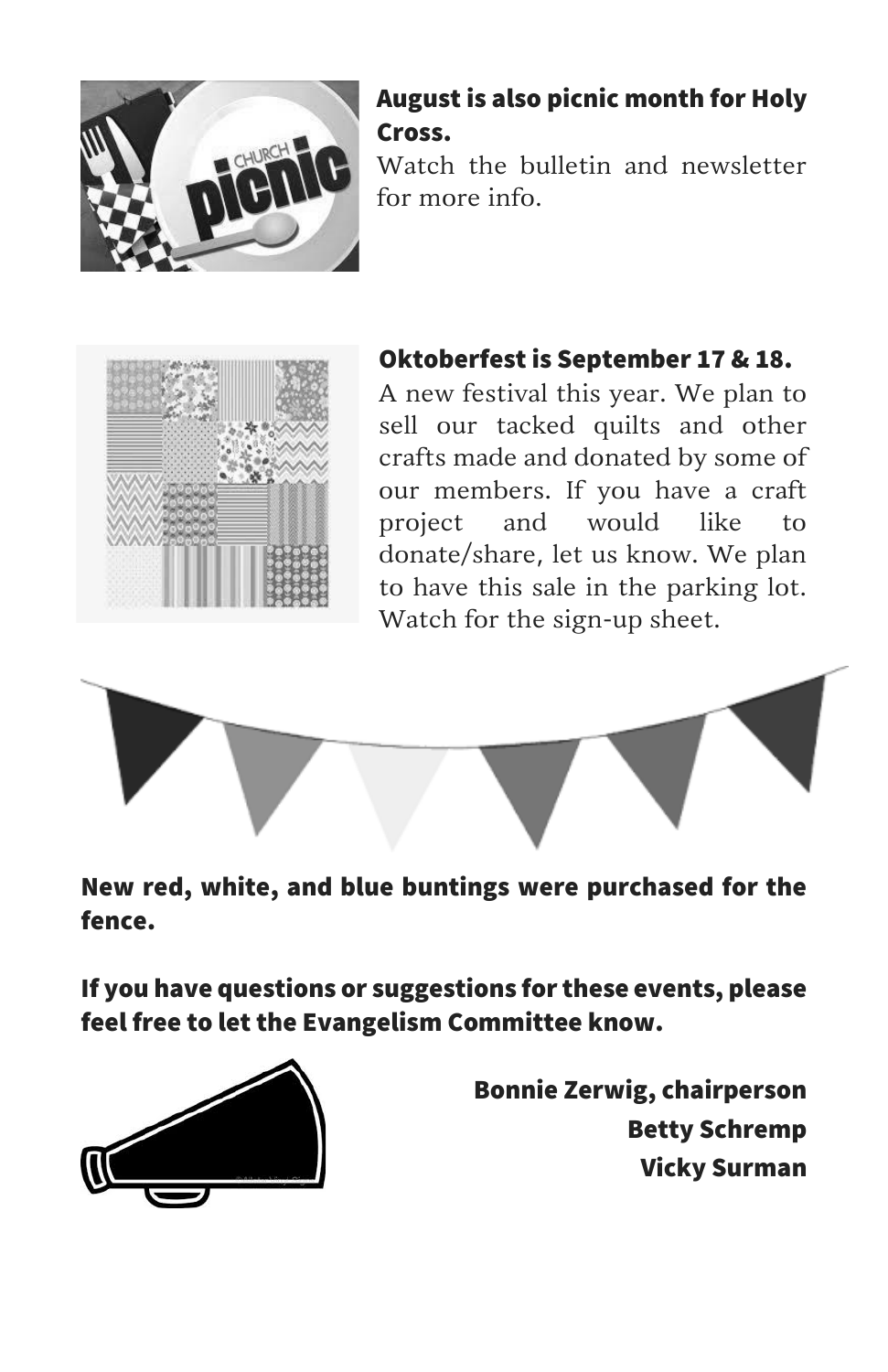

### August is also picnic month for Holy Cross.

Watch the bulletin and newsletter for more info.



### Oktoberfest is September 17 & 18.

A new festival this year. We plan to sell our tacked quilts and other crafts made and donated by some of our members. If you have a craft project and would like to donate/share, let us know. We plan to have this sale in the parking lot. Watch for the sign-up sheet.



New red, white, and blue buntings were purchased for the fence.

If you have questions or suggestions for these events, please feel free to let the Evangelism Committee know.



Bonnie Zerwig, chairperson Betty Schremp Vicky Surman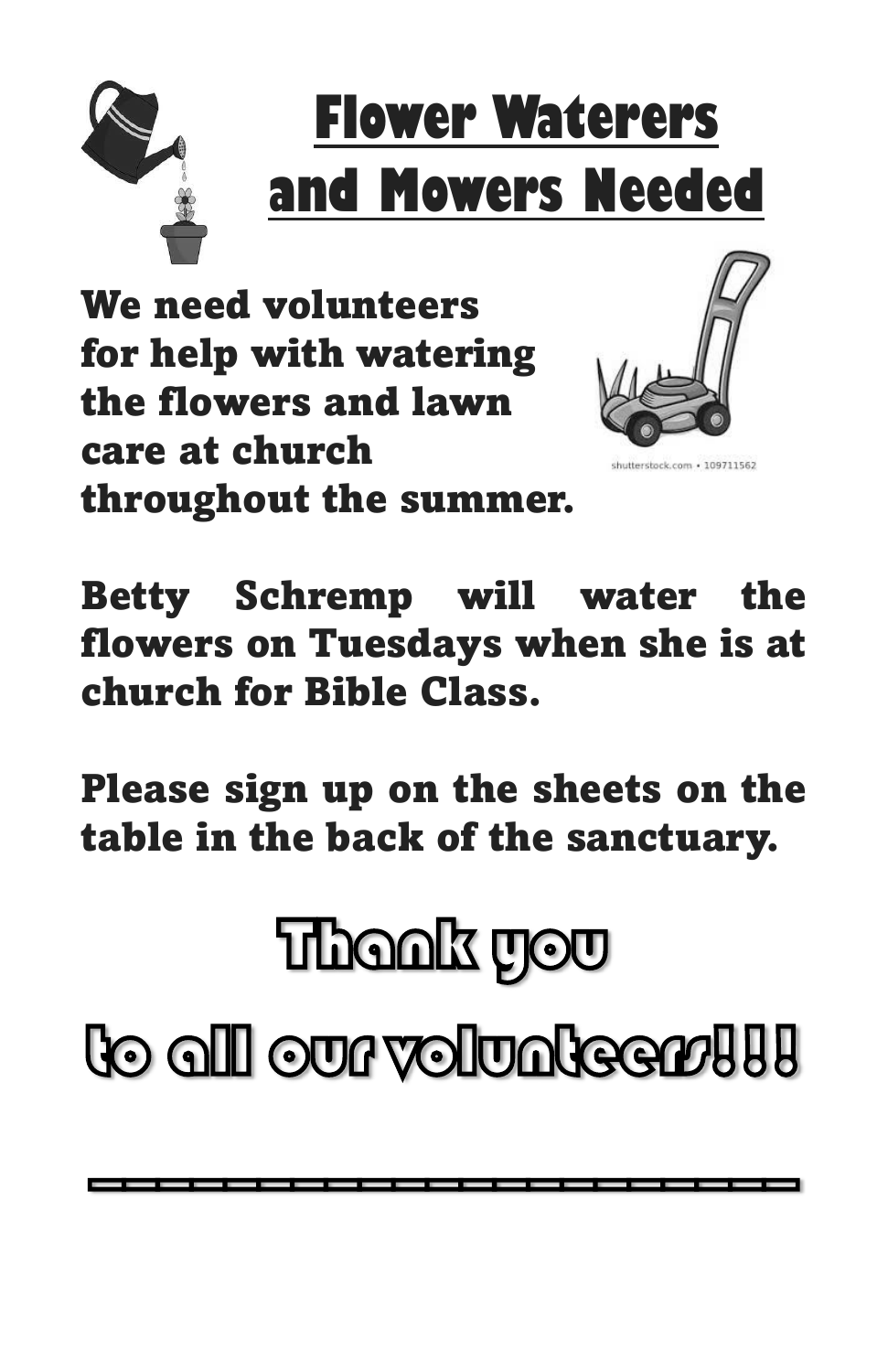

# **Flower Waterers and Mowers Needed**

We need volunteers for help with watering the flowers and lawn care at church throughout the summer.



utterstock.com · 109711562

Betty Schremp will water the flowers on Tuesdays when she is at church for Bible Class.

Please sign up on the sheets on the table in the back of the sanctuary.

# Thank you

to all our volunteers!!!

\_\_\_\_\_\_\_\_\_\_\_\_\_\_\_\_\_\_\_\_\_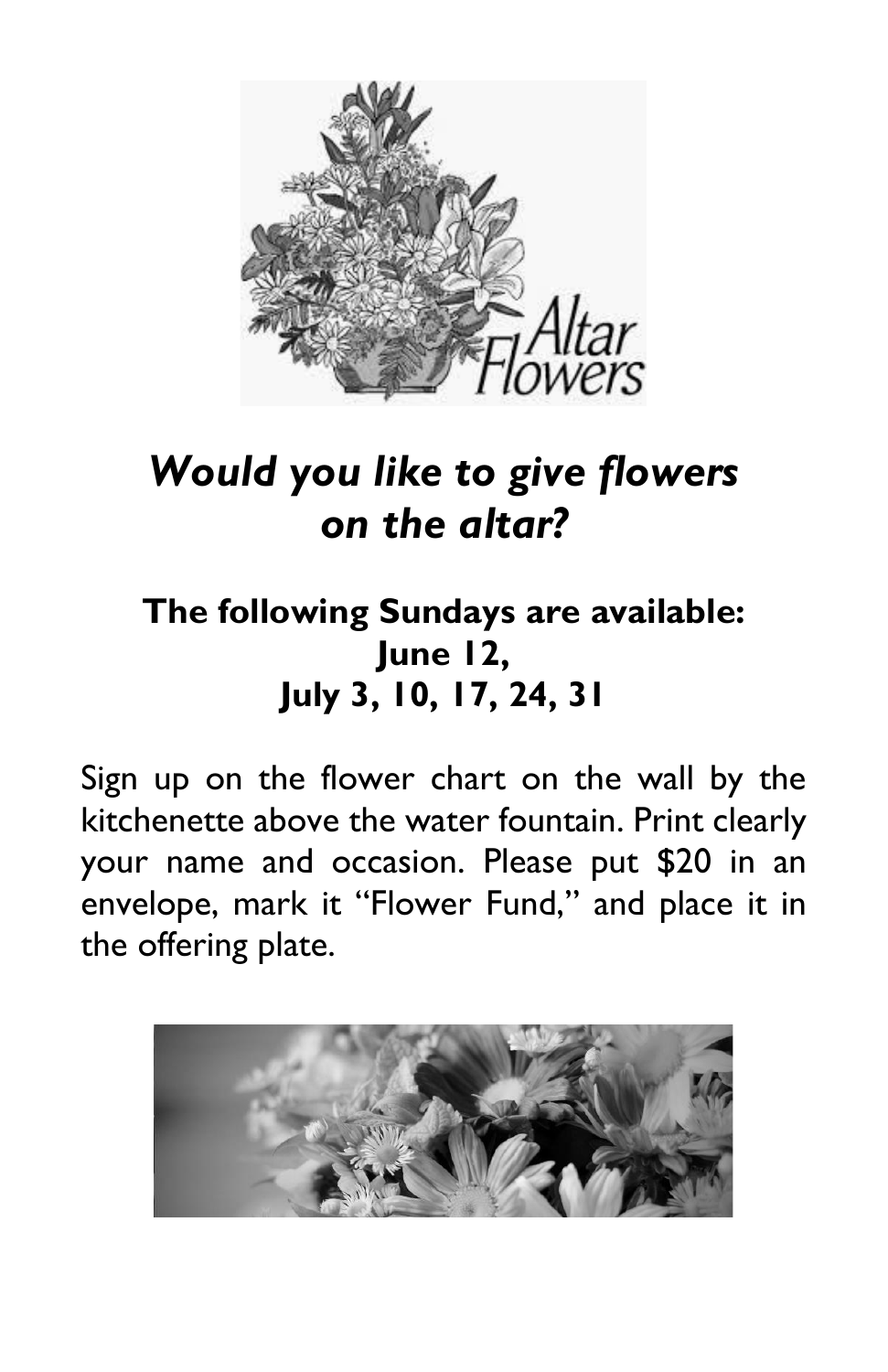

## *Would you like to give flowers on the altar?*

## **The following Sundays are available: June 12, July 3, 10, 17, 24, 31**

Sign up on the flower chart on the wall by the kitchenette above the water fountain. Print clearly your name and occasion. Please put \$20 in an envelope, mark it "Flower Fund," and place it in the offering plate.

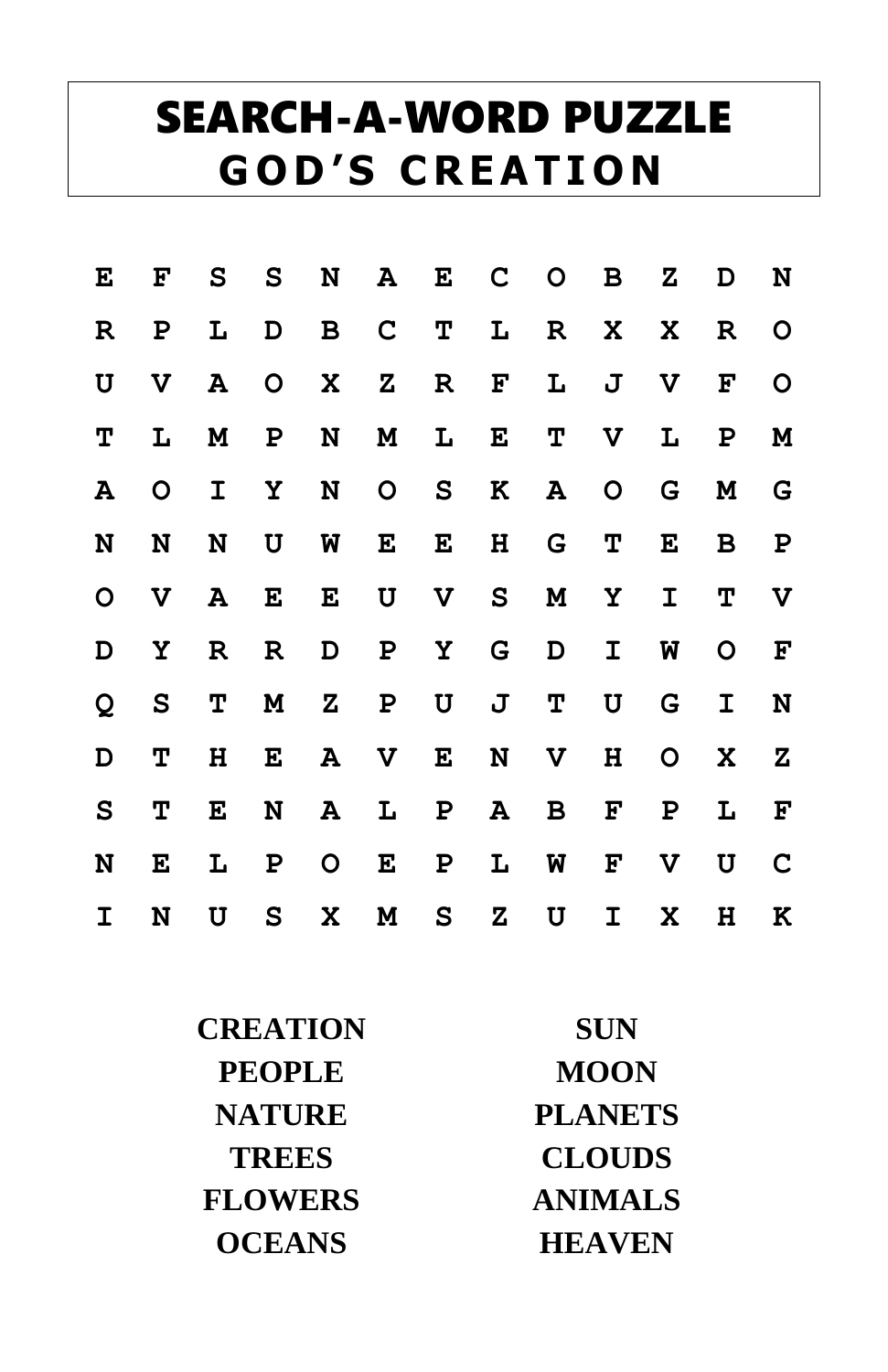# SEARCH-A-WORD PUZZLE **G O D ' S C R E A T I O N**

| E            | F            | $\mathbf{s}$ | $\mathbf{s}$ | N            | ${\bf A}$    | E            | C         | $\mathbf O$ | B            | Ζ            | D            | N                         |
|--------------|--------------|--------------|--------------|--------------|--------------|--------------|-----------|-------------|--------------|--------------|--------------|---------------------------|
| $\mathbb R$  | Ρ            | L            | D            | $\mathbf B$  | $\mathbf C$  | $\mathbf{T}$ | L         | $\mathbf R$ | X            | X            | $\mathbf R$  | $\mathbf O$               |
| $\mathbf U$  | V            | A            | $\mathsf{O}$ | X            | ${\bf z}$    | $\mathbf R$  | F         | L           | $\mathbf J$  | $\mathbf{V}$ | F            | $\mathbf O$               |
| Т            | L            | M            | P            | N            | M            | L            | E         | Т           | $\mathbf v$  | L            | $\mathbf{P}$ | $\mathbf M$               |
| ${\bf A}$    | $\mathbf{O}$ | I            | Υ            | N            | $\mathsf{O}$ | S            | K         | ${\bf A}$   | $\mathsf{O}$ | G            | M            | G                         |
| N            | N            | N            | U            | W            | E            | E            | H         | G           | Т            | E            | В            | $\mathbf P$               |
| $\mathbf O$  | V            | A            | E            | E            | U            | V            | S         | M           | Υ            | I            | <b>T</b>     | $\boldsymbol{\mathrm{V}}$ |
| D            | Υ            | R            | R            | D            | $\mathbf P$  | $\mathbf{Y}$ | G         | D           | I            | W            | $\circ$      | $\mathbf{F}% _{0}$        |
| Q            | $\mathbf{s}$ | Т            | M            | ${\bf z}$    | $\mathbf P$  | $\mathbf U$  | J         | Т           | $\mathbf U$  | G            | I            | N                         |
| D            | Т            | н            | E            | ${\bf A}$    | V            | E            | N         | V           | н            | $\mathsf{O}$ | X            | $\mathbf{z}$              |
| $\mathbf{s}$ | Т            | E            | N            | A            | L            | $\mathbf{P}$ | ${\bf A}$ | B           | F            | Ρ            | L            | F                         |
| N            | E            | L            | P            | $\mathsf{O}$ | E            | P            | L         | W           | F            | V            | U            | $\mathbf C$               |
| I            | N            | U            | S            | X            | M            | S            | Ζ         | U           | I            | X            | н            | K                         |

| <b>CREATION</b> | <b>SUN</b>     |  |  |  |
|-----------------|----------------|--|--|--|
| <b>PEOPLE</b>   | <b>MOON</b>    |  |  |  |
| <b>NATURE</b>   | <b>PLANETS</b> |  |  |  |
| <b>TREES</b>    | <b>CLOUDS</b>  |  |  |  |
| <b>FLOWERS</b>  | <b>ANIMALS</b> |  |  |  |
| <b>OCEANS</b>   | <b>HEAVEN</b>  |  |  |  |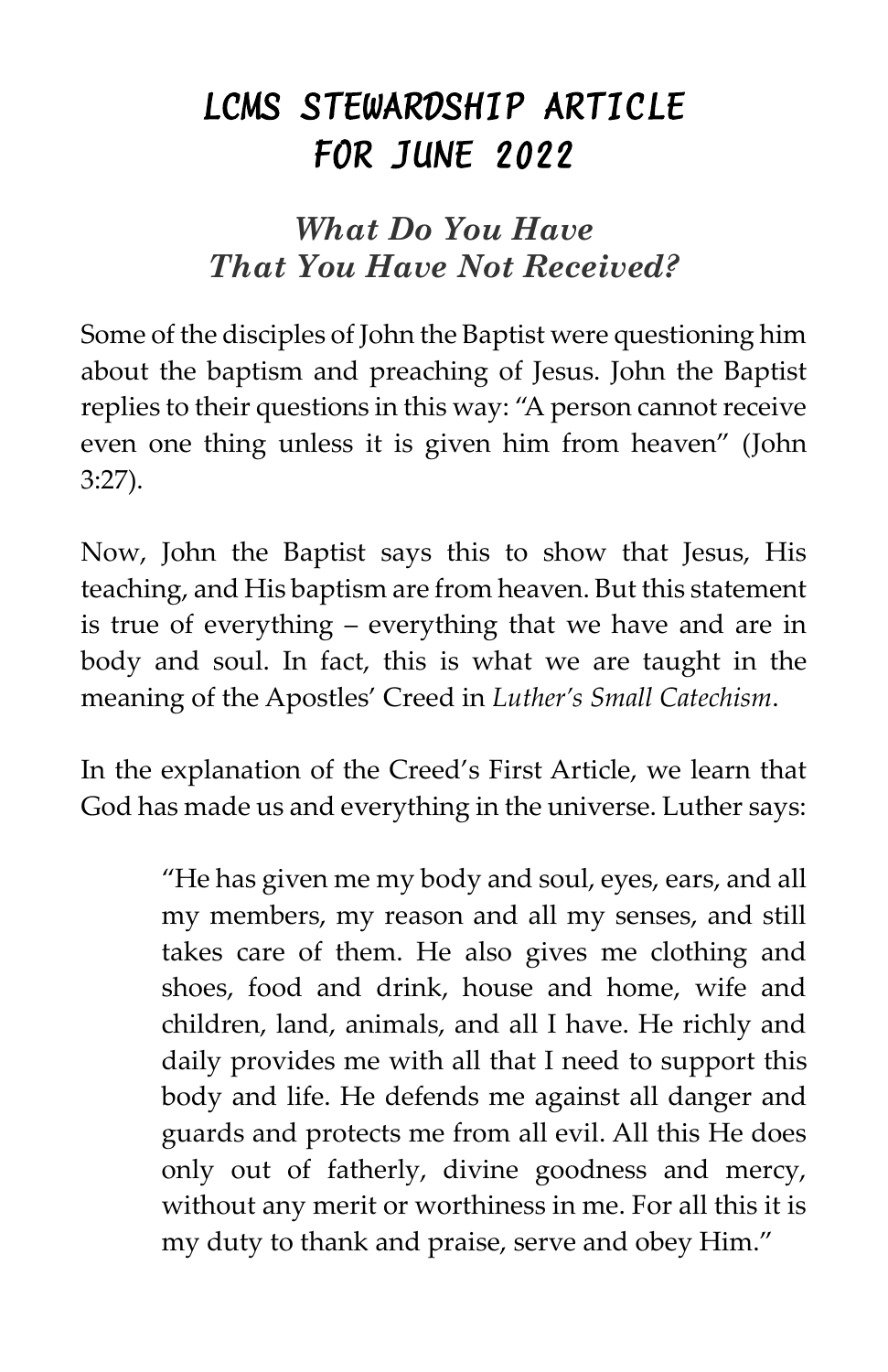## *LCMS STEWARDSHIP ARTICLE FOR JUNE 2022*

### *What Do You Have That You Have Not Received?*

Some of the disciples of John the Baptist were questioning him about the baptism and preaching of Jesus. John the Baptist replies to their questions in this way: "A person cannot receive even one thing unless it is given him from heaven" (John 3:27).

Now, John the Baptist says this to show that Jesus, His teaching, and His baptism are from heaven. But this statement is true of everything – everything that we have and are in body and soul. In fact, this is what we are taught in the meaning of the Apostles' Creed in *Luther's Small Catechism*.

In the explanation of the Creed's First Article, we learn that God has made us and everything in the universe. Luther says:

> "He has given me my body and soul, eyes, ears, and all my members, my reason and all my senses, and still takes care of them. He also gives me clothing and shoes, food and drink, house and home, wife and children, land, animals, and all I have. He richly and daily provides me with all that I need to support this body and life. He defends me against all danger and guards and protects me from all evil. All this He does only out of fatherly, divine goodness and mercy, without any merit or worthiness in me. For all this it is my duty to thank and praise, serve and obey Him."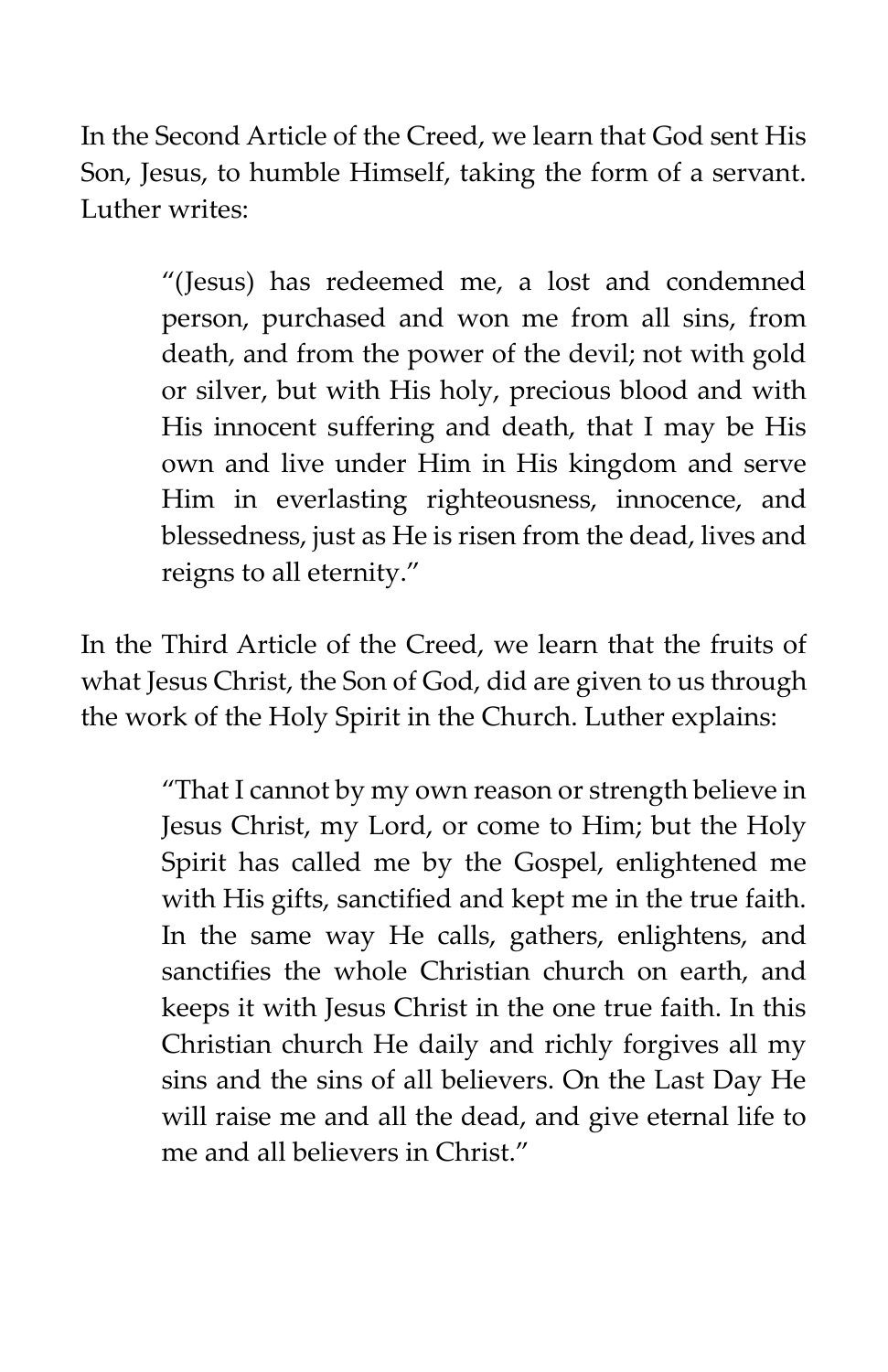In the Second Article of the Creed, we learn that God sent His Son, Jesus, to humble Himself, taking the form of a servant. Luther writes:

> "(Jesus) has redeemed me, a lost and condemned person, purchased and won me from all sins, from death, and from the power of the devil; not with gold or silver, but with His holy, precious blood and with His innocent suffering and death, that I may be His own and live under Him in His kingdom and serve Him in everlasting righteousness, innocence, and blessedness, just as He is risen from the dead, lives and reigns to all eternity."

In the Third Article of the Creed, we learn that the fruits of what Jesus Christ, the Son of God, did are given to us through the work of the Holy Spirit in the Church. Luther explains:

> "That I cannot by my own reason or strength believe in Jesus Christ, my Lord, or come to Him; but the Holy Spirit has called me by the Gospel, enlightened me with His gifts, sanctified and kept me in the true faith. In the same way He calls, gathers, enlightens, and sanctifies the whole Christian church on earth, and keeps it with Jesus Christ in the one true faith. In this Christian church He daily and richly forgives all my sins and the sins of all believers. On the Last Day He will raise me and all the dead, and give eternal life to me and all believers in Christ."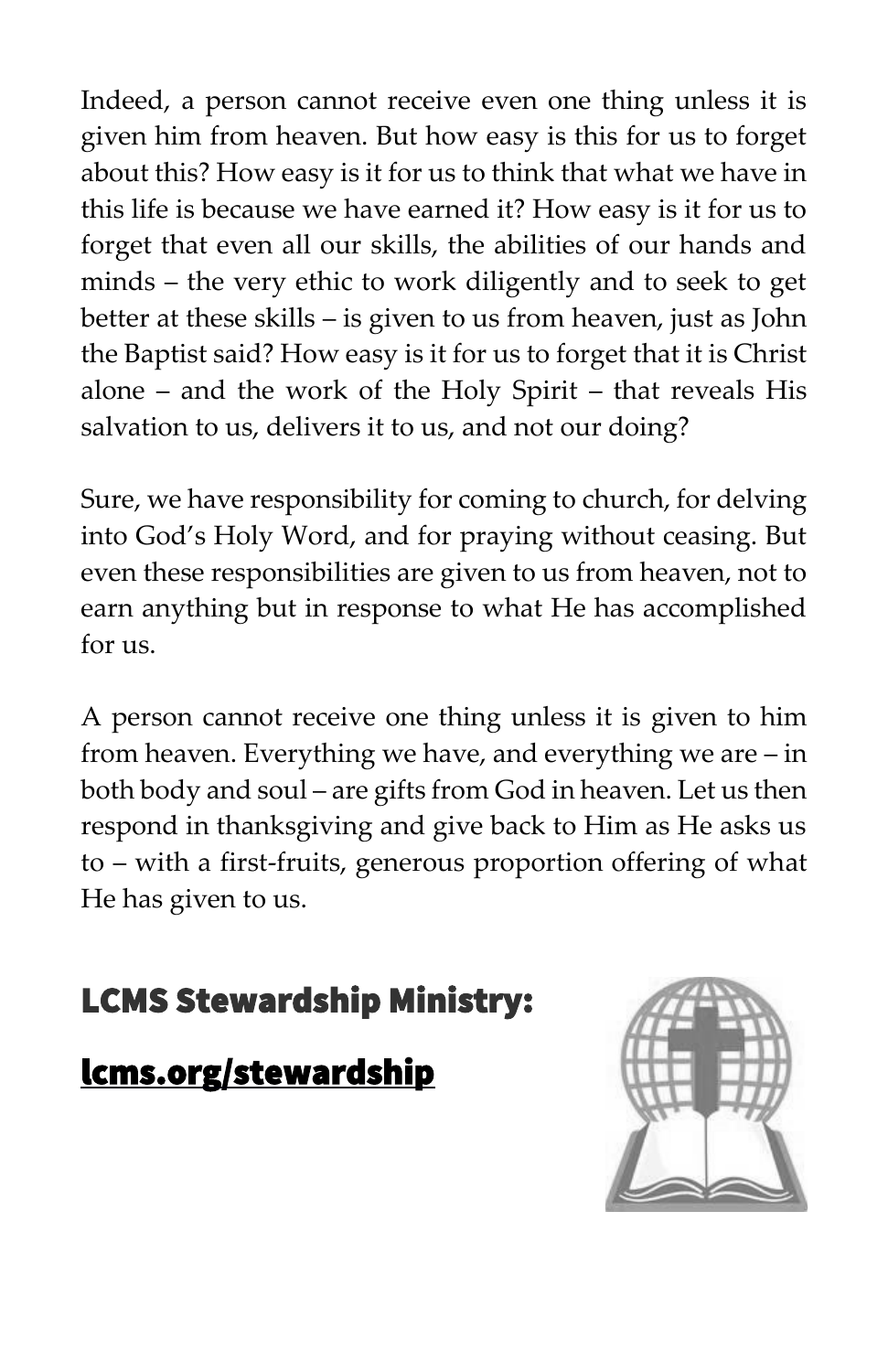Indeed, a person cannot receive even one thing unless it is given him from heaven. But how easy is this for us to forget about this? How easy is it for us to think that what we have in this life is because we have earned it? How easy is it for us to forget that even all our skills, the abilities of our hands and minds – the very ethic to work diligently and to seek to get better at these skills – is given to us from heaven, just as John the Baptist said? How easy is it for us to forget that it is Christ alone – and the work of the Holy Spirit – that reveals His salvation to us, delivers it to us, and not our doing?

Sure, we have responsibility for coming to church, for delving into God's Holy Word, and for praying without ceasing. But even these responsibilities are given to us from heaven, not to earn anything but in response to what He has accomplished for us.

A person cannot receive one thing unless it is given to him from heaven. Everything we have, and everything we are – in both body and soul – are gifts from God in heaven. Let us then respond in thanksgiving and give back to Him as He asks us to – with a first-fruits, generous proportion offering of what He has given to us.

## LCMS Stewardship Ministry:

### [lcms.org/stewardship](https://www.lcms.org/how-we-serve/national/stewardship-ministry)